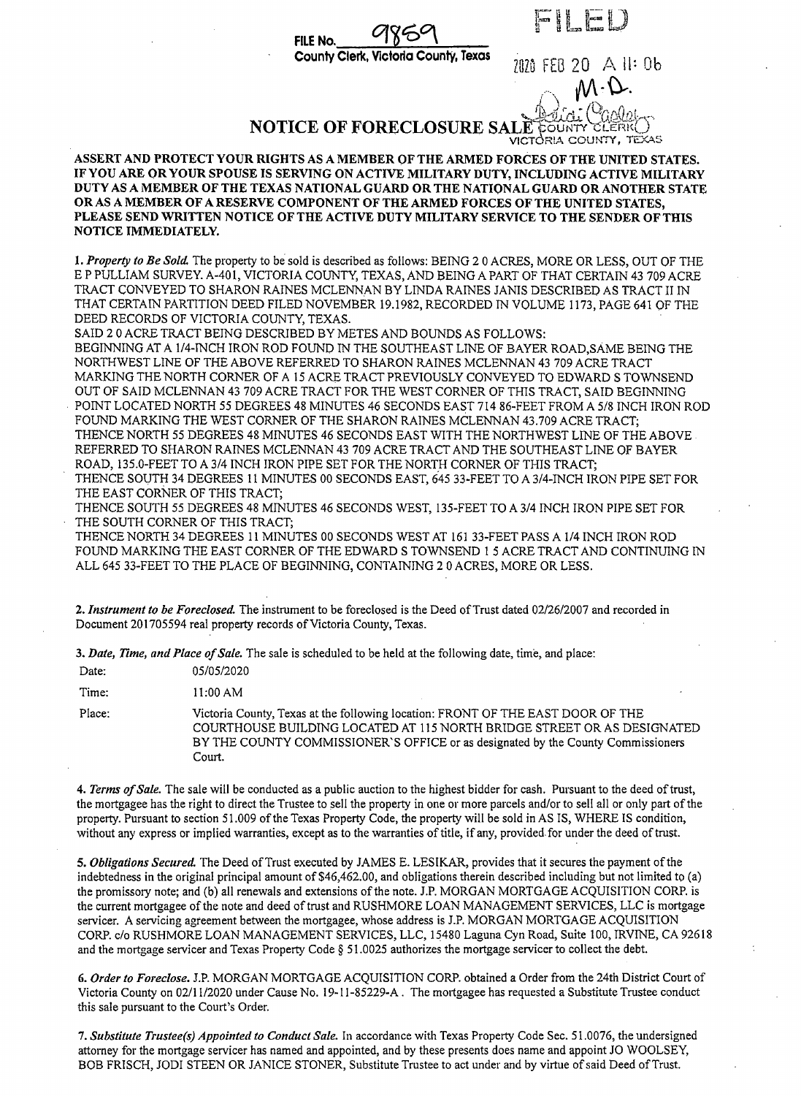FILE No. County Clerk. oria County. Texas

2020 FEB 20 All: 0b

## **NOTICE OF FORECLOSURE SALE COUNT**

VICTORIA COUNTY, TEXAS

ASSERT AND PROTECT YOUR RIGHTS AS A MEMBER OF THE ARMED FORCES OF THE UNITED STATES. IF YOU ARE OR YOUR SPOUSE IS SERVING ON ACTIVE MILITARY DUTY, INCLUDING ACTIVE MILITARY DUTY AS A MEMBER OF THE TEXAS NATIONAL GUARD OR THE NATIONAL GUARD OR ANOTHER STATE OR AS A MEMBER OF A RESERVE COMPONENT OF THE ARMED FORCES OF THE UNITED STATES. PLEASE SEND WRITTEN NOTICE OF THE ACTIVE DUTY MILITARY SERVICE TO THE SENDER OF THIS NOTICE IMMEDIATELY.

1. Property to Be Sold. The property to be sold is described as follows: BEING 2 0 ACRES, MORE OR LESS, OUT OF THE E P PULLIAM SURVEY. A-401, VICTORIA COUNTY, TEXAS, AND BEING A PART OF THAT CERTAIN 43 709 ACRE TRACT CONVEYED TO SHARON RAINES MCLENNAN BY LINDA RAINES JANIS DESCRIBED AS TRACT II IN THAT CERTAIN PARTITION DEED FILED NOVEMBER 19.1982, RECORDED IN VOLUME 1173, PAGE 641 OF THE DEED RECORDS OF VICTORIA COUNTY, TEXAS.

SAID 20 ACRE TRACT BEING DESCRIBED BY METES AND BOUNDS AS FOLLOWS:

BEGINNING AT A 1/4-INCH IRON ROD FOUND IN THE SOUTHEAST LINE OF BAYER ROAD, SAME BEING THE NORTHWEST LINE OF THE ABOVE REFERRED TO SHARON RAINES MCLENNAN 43 709 ACRE TRACT MARKING THE NORTH CORNER OF A 15 ACRE TRACT PREVIOUSLY CONVEYED TO EDWARD S TOWNSEND OUT OF SAID MCLENNAN 43 709 ACRE TRACT FOR THE WEST CORNER OF THIS TRACT, SAID BEGINNING POINT LOCATED NORTH 55 DEGREES 48 MINUTES 46 SECONDS EAST 714 86-FEET FROM A 5/8 INCH IRON ROD FOUND MARKING THE WEST CORNER OF THE SHARON RAINES MCLENNAN 43.709 ACRE TRACT: THENCE NORTH 55 DEGREES 48 MINUTES 46 SECONDS EAST WITH THE NORTHWEST LINE OF THE ABOVE REFERRED TO SHARON RAINES MCLENNAN 43 709 ACRE TRACT AND THE SOUTHEAST LINE OF BAYER ROAD, 135.0-FEET TO A 3/4 INCH IRON PIPE SET FOR THE NORTH CORNER OF THIS TRACT: THENCE SOUTH 34 DEGREES 11 MINUTES 00 SECONDS EAST, 645 33-FEET TO A 3/4-INCH IRON PIPE SET FOR

THE EAST CORNER OF THIS TRACT; THENCE SOUTH 55 DEGREES 48 MINUTES 46 SECONDS WEST, 135-FEET TO A 3/4 INCH IRON PIPE SET FOR THE SOUTH CORNER OF THIS TRACT;

THENCE NORTH 34 DEGREES 11 MINUTES 00 SECONDS WEST AT 161 33-FEET PASS A 1/4 INCH IRON ROD FOUND MARKING THE EAST CORNER OF THE EDWARD S TOWNSEND 1 5 ACRE TRACT AND CONTINUING IN ALL 645 33-FEET TO THE PLACE OF BEGINNING, CONTAINING 20 ACRES, MORE OR LESS.

2. Instrument to be Foreclosed. The instrument to be foreclosed is the Deed of Trust dated 02/26/2007 and recorded in Document 201705594 real property records of Victoria County, Texas.

3. Date, Time, and Place of Sale. The sale is scheduled to be held at the following date, time, and place:

| Date:  | 05/05/2020     |
|--------|----------------|
| Time:  | 11:00 AM       |
| Place: | Victoria Count |
|        | $\sim$         |

ty, Texas at the following location: FRONT OF THE EAST DOOR OF THE COURTHOUSE BUILDING LOCATED AT 115 NORTH BRIDGE STREET OR AS DESIGNATED BY THE COUNTY COMMISSIONER'S OFFICE or as designated by the County Commissioners Court.

4. Terms of Sale. The sale will be conducted as a public auction to the highest bidder for cash. Pursuant to the deed of trust, the mortgagee has the right to direct the Trustee to sell the property in one or more parcels and/or to sell all or only part of the property. Pursuant to section 51.009 of the Texas Property Code, the property will be sold in AS IS, WHERE IS condition, without any express or implied warranties, except as to the warranties of title, if any, provided for under the deed of trust.

5. Obligations Secured. The Deed of Trust executed by JAMES E. LESIKAR, provides that it secures the payment of the indebtedness in the original principal amount of \$46,462.00, and obligations therein described including but not limited to (a) the promissory note; and (b) all renewals and extensions of the note. J.P. MORGAN MORTGAGE ACQUISITION CORP. is the current mortgagee of the note and deed of trust and RUSHMORE LOAN MANAGEMENT SERVICES, LLC is mortgage servicer. A servicing agreement between the mortgagee, whose address is J.P. MORGAN MORTGAGE ACQUISITION CORP. c/o RUSHMORE LOAN MANAGEMENT SERVICES, LLC, 15480 Laguna Cyn Road, Suite 100, IRVINE, CA 92618 and the mortgage servicer and Texas Property Code § 51.0025 authorizes the mortgage servicer to collect the debt.

6. Order to Foreclose. J.P. MORGAN MORTGAGE ACQUISITION CORP. obtained a Order from the 24th District Court of Victoria County on 02/11/2020 under Cause No. 19-11-85229-A. The mortgagee has requested a Substitute Trustee conduct this sale pursuant to the Court's Order.

7. Substitute Trustee(s) Appointed to Conduct Sale. In accordance with Texas Property Code Sec. 51.0076, the undersigned attorney for the mortgage servicer has named and appointed, and by these presents does name and appoint JO WOOLSEY, BOB FRISCH, JODI STEEN OR JANICE STONER, Substitute Trustee to act under and by virtue of said Deed of Trust.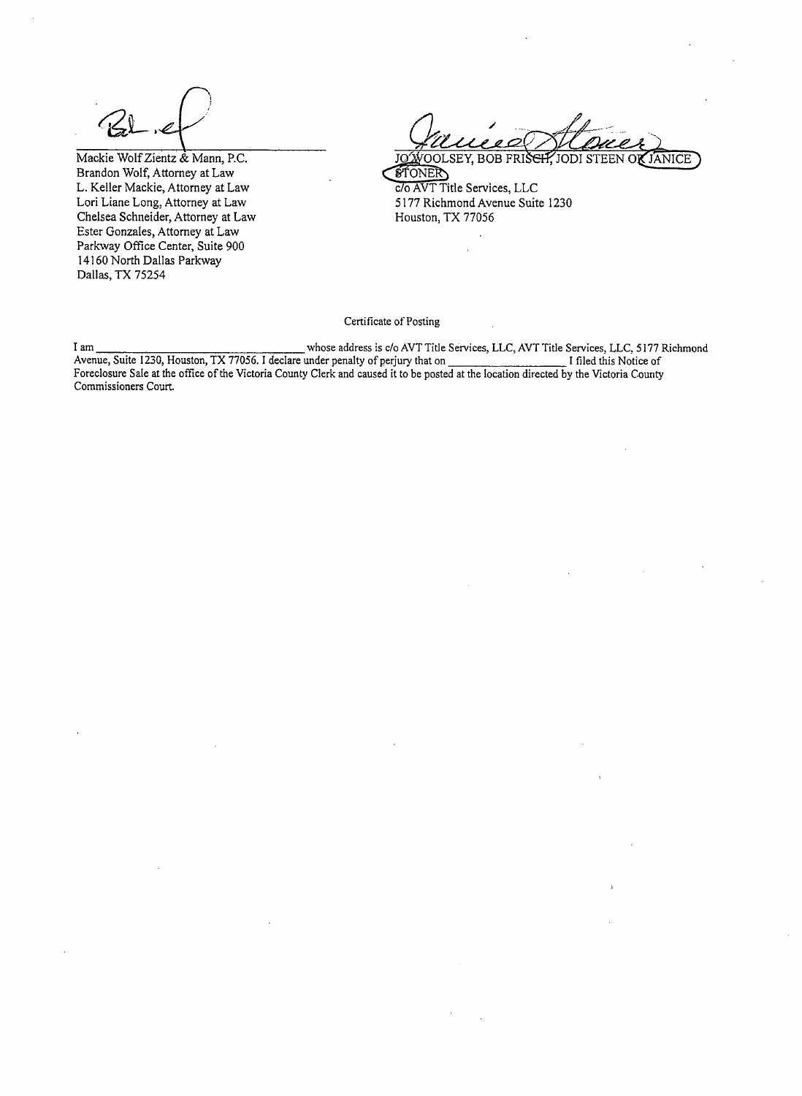Mackie Wolf Zientz & Mann, P.C. Brandon Wolf, Attorney at Law L. Keller Mackie, Attorney at Law Lori Liane Long, Attorney at Law Chelsea Schneider, Attorney at Law Ester Gonzales, Attorney at Law Parkway Office Center, Suite 900 14160 North Dallas Parkway Dallas, TX 75254

JOWOOLSEY, BOB FRIS<del>CIT</del>. JANICE JODI STEEN O**K STONER** c/o AVT Title Services, LLC 5177 Richmond Avenue Suite 1230 Houston, TX 77056

Certificate of Posting

whose address is c/o AVT Title Services, LLC, AVT Title Services, LLC, 5177 Richmond I am Avenue, Suite 1230, Houston, TX 77056. I declare under penalty of perjury that on I filed this Notice of Foreclosure Sale at the office of the Victoria County Clerk and caused it to be posted at the location directed by the Victoria County Commissioners Court.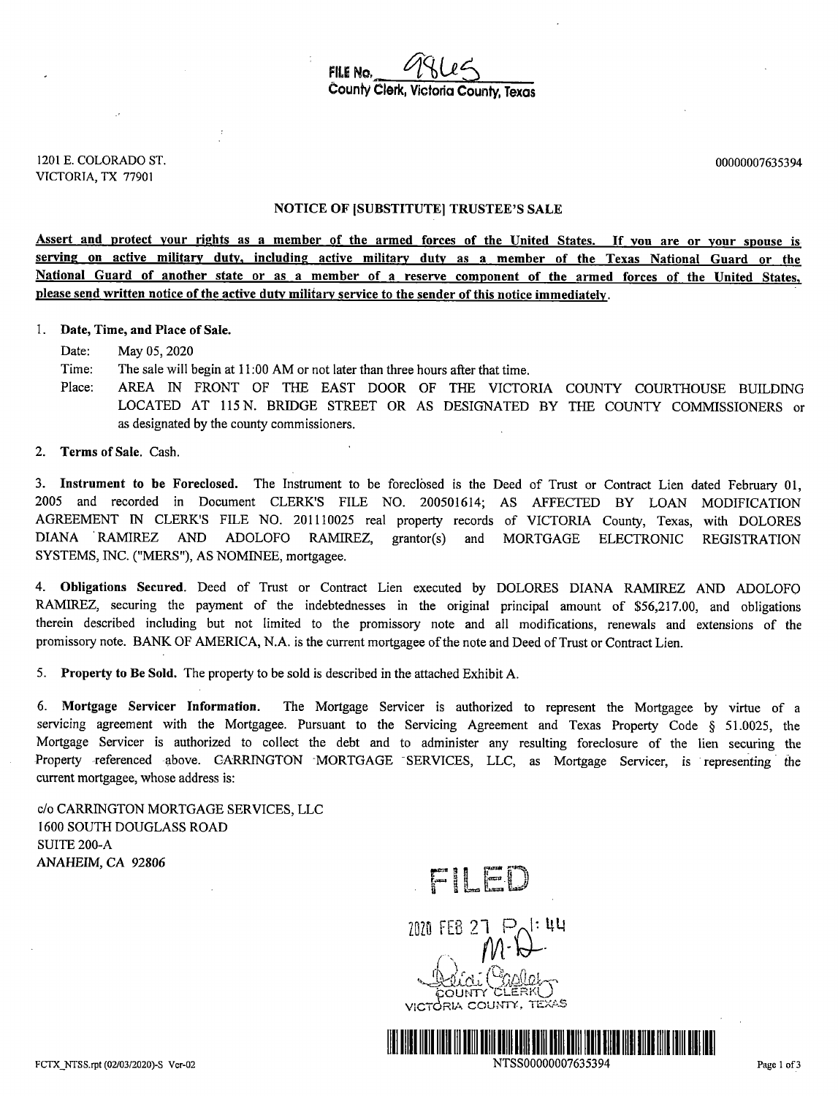FILE No. County Clerk, Victoria County, Texas

1201 E. COLORADO ST. VICTORIA, TX 77901

00000007635394

#### **NOTICE OF [SUBSTITUTE] TRUSTEE'S SALE**

Assert and protect your rights as a member of the armed forces of the United States. If you are or your spouse is serving on active military duty, including active military duty as a member of the Texas National Guard or the National Guard of another state or as a member of a reserve component of the armed forces of the United States, please send written notice of the active duty military service to the sender of this notice immediately.

#### 1. Date, Time, and Place of Sale.

Date: May 05, 2020

Time: The sale will begin at 11:00 AM or not later than three hours after that time.

- Place: AREA IN FRONT OF THE EAST DOOR OF THE VICTORIA COUNTY COURTHOUSE BUILDING LOCATED AT 115 N. BRIDGE STREET OR AS DESIGNATED BY THE COUNTY COMMISSIONERS or as designated by the county commissioners.
- 2. Terms of Sale. Cash.

3. Instrument to be Foreclosed. The Instrument to be foreclosed is the Deed of Trust or Contract Lien dated February 01, 2005 and recorded in Document CLERK'S FILE NO. 200501614; AS AFFECTED BY LOAN MODIFICATION AGREEMENT IN CLERK'S FILE NO. 201110025 real property records of VICTORIA County, Texas, with DOLORES DIANA RAMIREZ **AND** ADOLOFO RAMIREZ, grantor(s) and MORTGAGE ELECTRONIC **REGISTRATION** SYSTEMS, INC. ("MERS"), AS NOMINEE, mortgagee.

4. Obligations Secured. Deed of Trust or Contract Lien executed by DOLORES DIANA RAMIREZ AND ADOLOFO RAMIREZ, securing the payment of the indebtednesses in the original principal amount of \$56,217.00, and obligations therein described including but not limited to the promissory note and all modifications, renewals and extensions of the promissory note. BANK OF AMERICA, N.A. is the current mortgagee of the note and Deed of Trust or Contract Lien.

 $5.$ Property to Be Sold. The property to be sold is described in the attached Exhibit A.

6. Mortgage Servicer Information. The Mortgage Servicer is authorized to represent the Mortgagee by virtue of a servicing agreement with the Mortgagee. Pursuant to the Servicing Agreement and Texas Property Code § 51.0025, the Mortgage Servicer is authorized to collect the debt and to administer any resulting foreclosure of the lien securing the Property referenced above. CARRINGTON MORTGAGE SERVICES, LLC, as Mortgage Servicer, is representing the current mortgagee, whose address is:

c/o CARRINGTON MORTGAGE SERVICES, LLC 1600 SOUTH DOUGLASS ROAD **SUITE 200-A** ANAHEIM, CA 92806

FILED



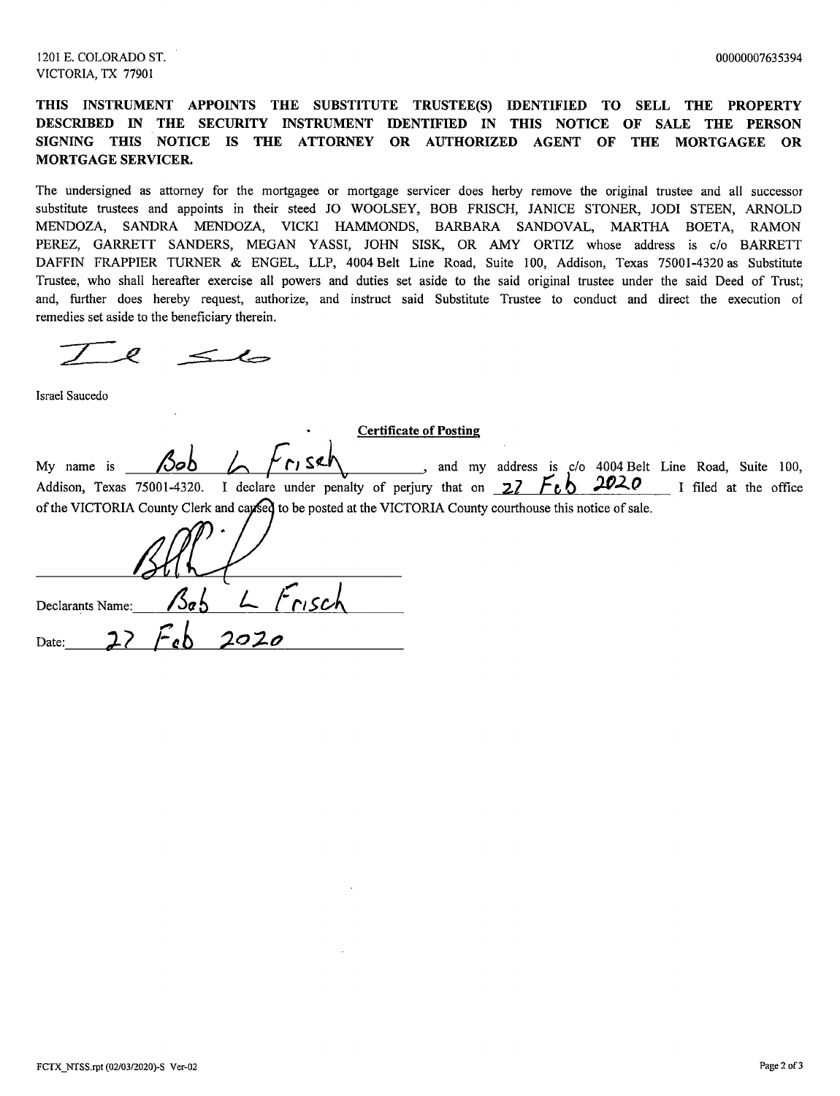## THIS INSTRUMENT APPOINTS THE SUBSTITUTE TRUSTEE(S) IDENTIFIED TO SELL THE PROPERTY DESCRIBED IN THE SECURITY INSTRUMENT IDENTIFIED IN THIS NOTICE OF SALE THE PERSON SIGNING THIS NOTICE IS THE ATTORNEY OR AUTHORIZED AGENT OF THE MORTGAGEE OR **MORTGAGE SERVICER.**

The undersigned as attorney for the mortgagee or mortgage servicer does herby remove the original trustee and all successor substitute trustees and appoints in their steed JO WOOLSEY, BOB FRISCH, JANICE STONER, JODI STEEN, ARNOLD MENDOZA, SANDRA MENDOZA, VICKI HAMMONDS, BARBARA SANDOVAL, MARTHA BOETA, RAMON PEREZ, GARRETT SANDERS, MEGAN YASSI, JOHN SISK, OR AMY ORTIZ whose address is c/o BARRETT DAFFIN FRAPPIER TURNER & ENGEL, LLP, 4004 Belt Line Road, Suite 100, Addison, Texas 75001-4320 as Substitute Trustee, who shall hereafter exercise all powers and duties set aside to the said original trustee under the said Deed of Trust; and, further does hereby request, authorize, and instruct said Substitute Trustee to conduct and direct the execution of remedies set aside to the beneficiary therein.

 $e \leq l$ 

Israel Saucedo

| <b>Certificate of Posting</b>                                                                               |      |      |       |  |  |  |  |                                                       |  |                       |  |
|-------------------------------------------------------------------------------------------------------------|------|------|-------|--|--|--|--|-------------------------------------------------------|--|-----------------------|--|
| My name is                                                                                                  |      |      | ۱۲ ده |  |  |  |  | and my address is c/o 4004 Belt Line Road, Suite 100, |  |                       |  |
| Addison, Texas 75001-4320. I declare under penalty of perjury that on $27$ $Feb$ 2020                       |      |      |       |  |  |  |  |                                                       |  | I filed at the office |  |
| of the VICTORIA County Clerk and capsed to be posted at the VICTORIA County courthouse this notice of sale. |      |      |       |  |  |  |  |                                                       |  |                       |  |
|                                                                                                             |      |      |       |  |  |  |  |                                                       |  |                       |  |
| Declarants Name:                                                                                            | 'Jah |      |       |  |  |  |  |                                                       |  |                       |  |
| Date:                                                                                                       |      | 2020 |       |  |  |  |  |                                                       |  |                       |  |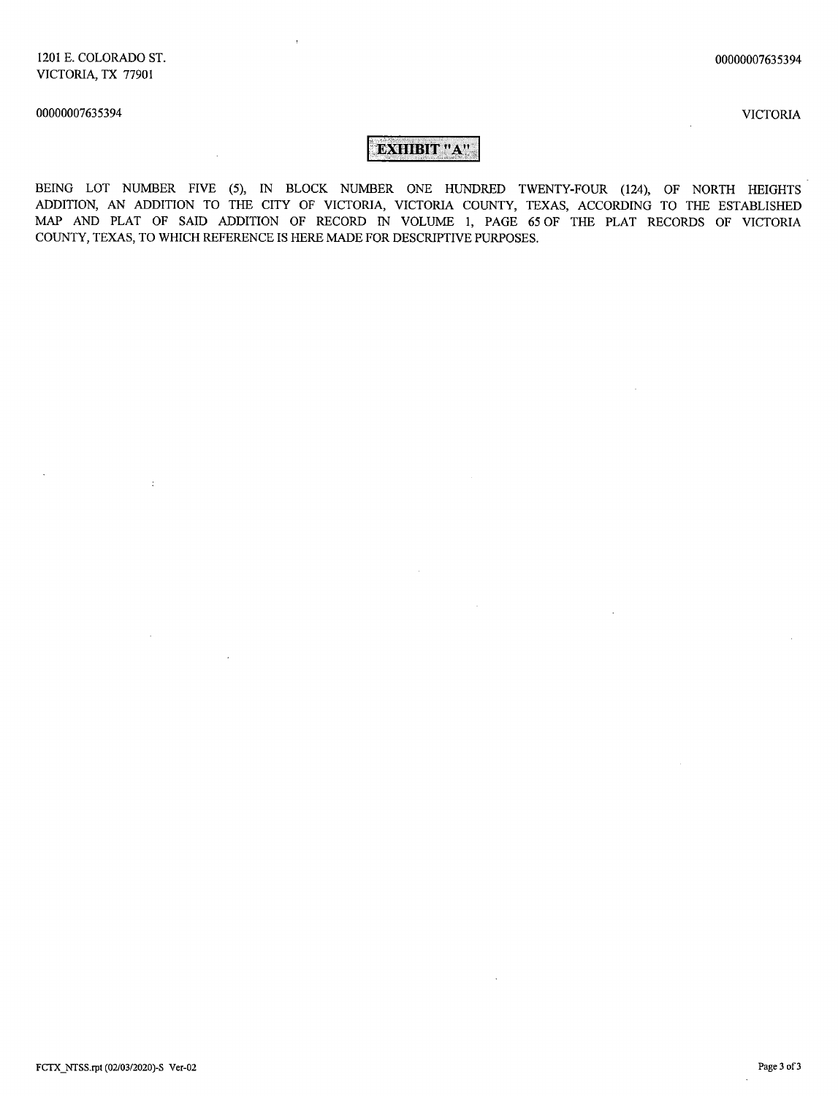$\sim 10$ 

 $\pm$ 

**VICTORIA** 

# EXHIBIT "A"

BEING LOT NUMBER FIVE (5), IN BLOCK NUMBER ONE HUNDRED TWENTY-FOUR (124), OF NORTH HEIGHTS ADDITION, AN ADDITION TO THE CITY OF VICTORIA, VICTORIA COUNTY, TEXAS, ACCORDING TO THE ESTABLISHED MAP AND PLAT OF SAID ADDITION OF RECORD IN VOLUME 1, PAGE 65 OF THE PLAT RECORDS OF VICTORIA COUNTY, TEXAS, TO WHICH REFERENCE IS HERE MADE FOR DESCRIPTIVE PURPOSES.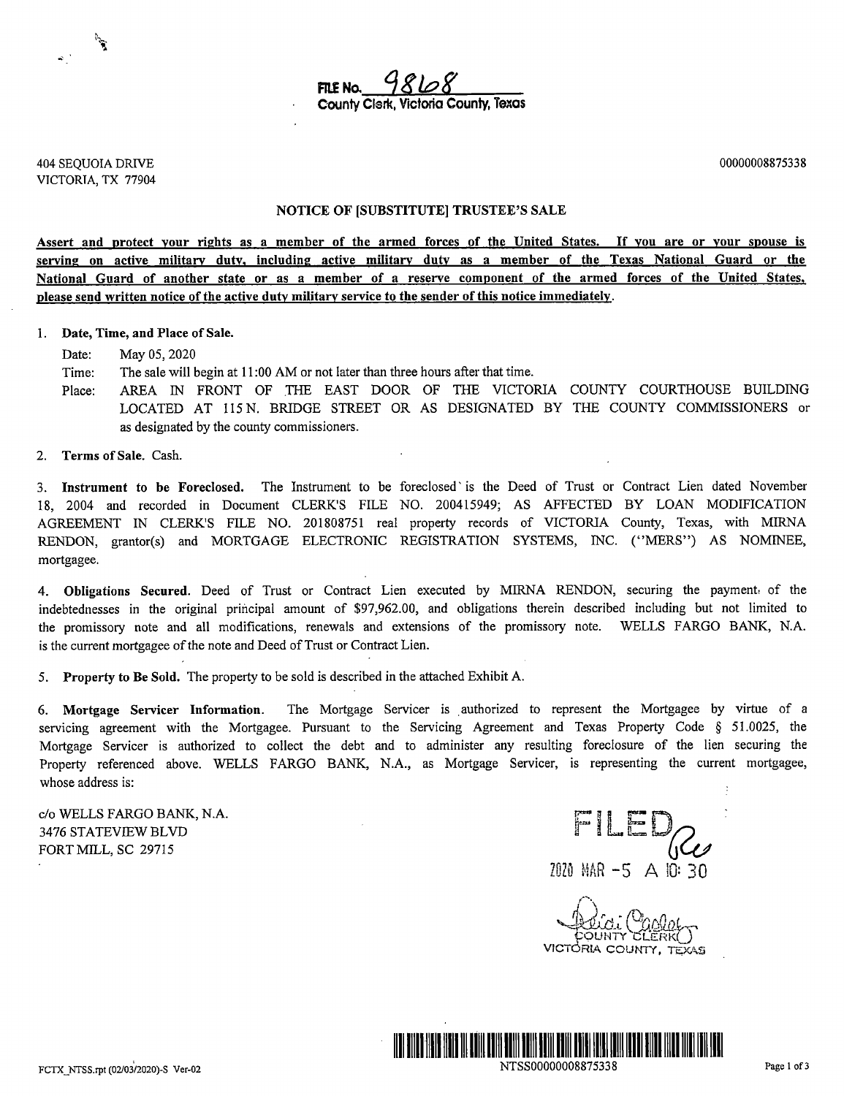

**404 SEQUOIA DRIVE** VICTORIA, TX 77904

 $\mathcal{L}_{\mathbf{a}}$ 

00000008875338

#### NOTICE OF [SUBSTITUTE] TRUSTEE'S SALE

Assert and protect your rights as a member of the armed forces of the United States. If you are or your spouse is serving on active military duty, including active military duty as a member of the Texas National Guard or the National Guard of another state or as a member of a reserve component of the armed forces of the United States, please send written notice of the active duty military service to the sender of this notice immediately.

#### 1. Date, Time, and Place of Sale.

Date: May 05, 2020

The sale will begin at 11:00 AM or not later than three hours after that time. Time:

Place: AREA IN FRONT OF THE EAST DOOR OF THE VICTORIA COUNTY COURTHOUSE BUILDING LOCATED AT 115 N. BRIDGE STREET OR AS DESIGNATED BY THE COUNTY COMMISSIONERS or as designated by the county commissioners.

Terms of Sale. Cash.  $2.$ 

3. Instrument to be Foreclosed. The Instrument to be foreclosed is the Deed of Trust or Contract Lien dated November 18, 2004 and recorded in Document CLERK'S FILE NO. 200415949; AS AFFECTED BY LOAN MODIFICATION AGREEMENT IN CLERK'S FILE NO. 201808751 real property records of VICTORIA County, Texas, with MIRNA RENDON, grantor(s) and MORTGAGE ELECTRONIC REGISTRATION SYSTEMS, INC. ("MERS") AS NOMINEE, mortgagee.

4. Obligations Secured. Deed of Trust or Contract Lien executed by MIRNA RENDON, securing the payment of the indebtednesses in the original principal amount of \$97,962.00, and obligations therein described including but not limited to the promissory note and all modifications, renewals and extensions of the promissory note. WELLS FARGO BANK, N.A. is the current mortgagee of the note and Deed of Trust or Contract Lien.

Property to Be Sold. The property to be sold is described in the attached Exhibit A.  $5<sub>1</sub>$ 

6. Mortgage Servicer Information. The Mortgage Servicer is authorized to represent the Mortgagee by virtue of a servicing agreement with the Mortgagee. Pursuant to the Servicing Agreement and Texas Property Code § 51.0025, the Mortgage Servicer is authorized to collect the debt and to administer any resulting foreclosure of the lien securing the Property referenced above. WELLS FARGO BANK, N.A., as Mortgage Servicer, is representing the current mortgagee, whose address is:

c/o WELLS FARGO BANK, N.A. 3476 STATEVIEW BLVD FORT MILL, SC 29715

FILED  $2020$  MAR  $-5$  A 10: 30

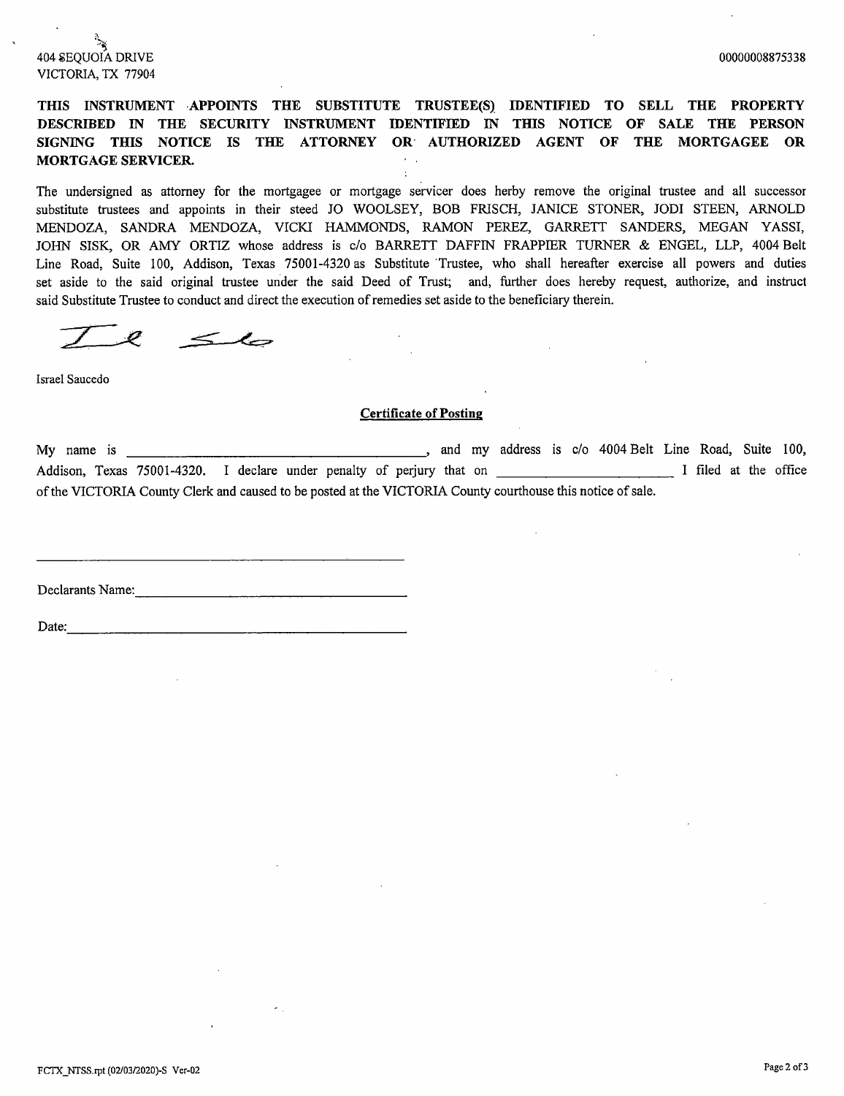# 404 SEOUOLA DRIVE VICTORIA, TX 77904

THIS INSTRUMENT APPOINTS THE SUBSTITUTE TRUSTEE(S) IDENTIFIED TO SELL THE PROPERTY DESCRIBED IN THE SECURITY INSTRUMENT IDENTIFIED IN THIS NOTICE OF SALE THE PERSON SIGNING THIS NOTICE IS THE ATTORNEY OR AUTHORIZED AGENT OF THE MORTGAGEE OR MORTGAGE SERVICER.

The undersigned as attorney for the mortgagee or mortgage servicer does herby remove the original trustee and all successor substitute trustees and appoints in their steed JO WOOLSEY, BOB FRISCH, JANICE STONER, JODI STEEN, ARNOLD MENDOZA, SANDRA MENDOZA, VICKI HAMMONDS, RAMON PEREZ, GARRETT SANDERS, MEGAN YASSI, JOHN SISK, OR AMY ORTIZ whose address is c/o BARRETT DAFFIN FRAPPIER TURNER & ENGEL, LLP, 4004 Belt Line Road, Suite 100, Addison, Texas 75001-4320 as Substitute Trustee, who shall hereafter exercise all powers and duties set aside to the said original trustee under the said Deed of Trust; and, further does hereby request, authorize, and instruct said Substitute Trustee to conduct and direct the execution of remedies set aside to the beneficiary therein.

 $\leq$ 

Israel Saucedo

#### **Certificate of Posting**

My name is , and my address is c/o 4004 Belt Line Road, Suite 100, Addison, Texas 75001-4320. I declare under penalty of perjury that on Theorem and The I filed at the office of the VICTORIA County Clerk and caused to be posted at the VICTORIA County courthouse this notice of sale.

Declarants Name:

Date: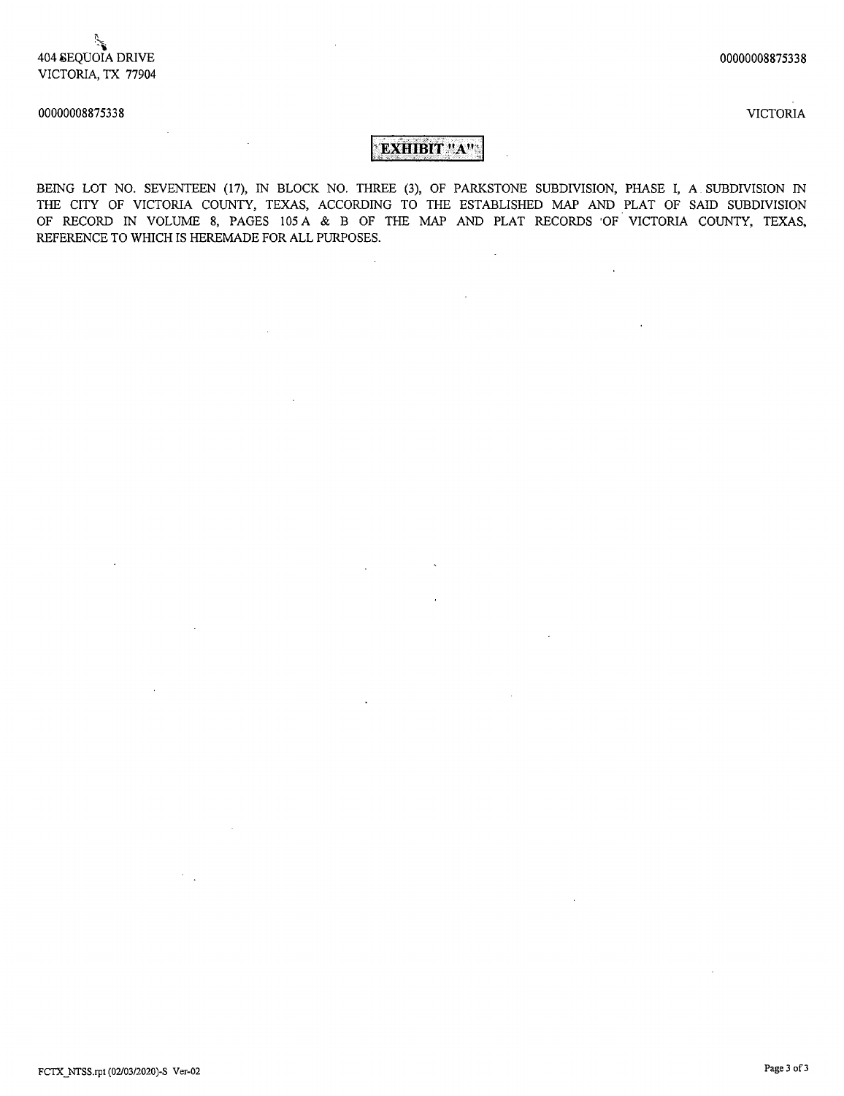**VICTORIA** 

#### 00000008875338

# EXHIBIT "A":

BEING LOT NO. SEVENTEEN (17), IN BLOCK NO. THREE (3), OF PARKSTONE SUBDIVISION, PHASE I, A SUBDIVISION IN THE CITY OF VICTORIA COUNTY, TEXAS, ACCORDING TO THE ESTABLISHED MAP AND PLAT OF SAID SUBDIVISION OF RECORD IN VOLUME 8, PAGES 105 A & B OF THE MAP AND PLAT RECORDS OF VICTORIA COUNTY, TEXAS, REFERENCE TO WHICH IS HEREMADE FOR ALL PURPOSES.

 $\mathbb{R}^2$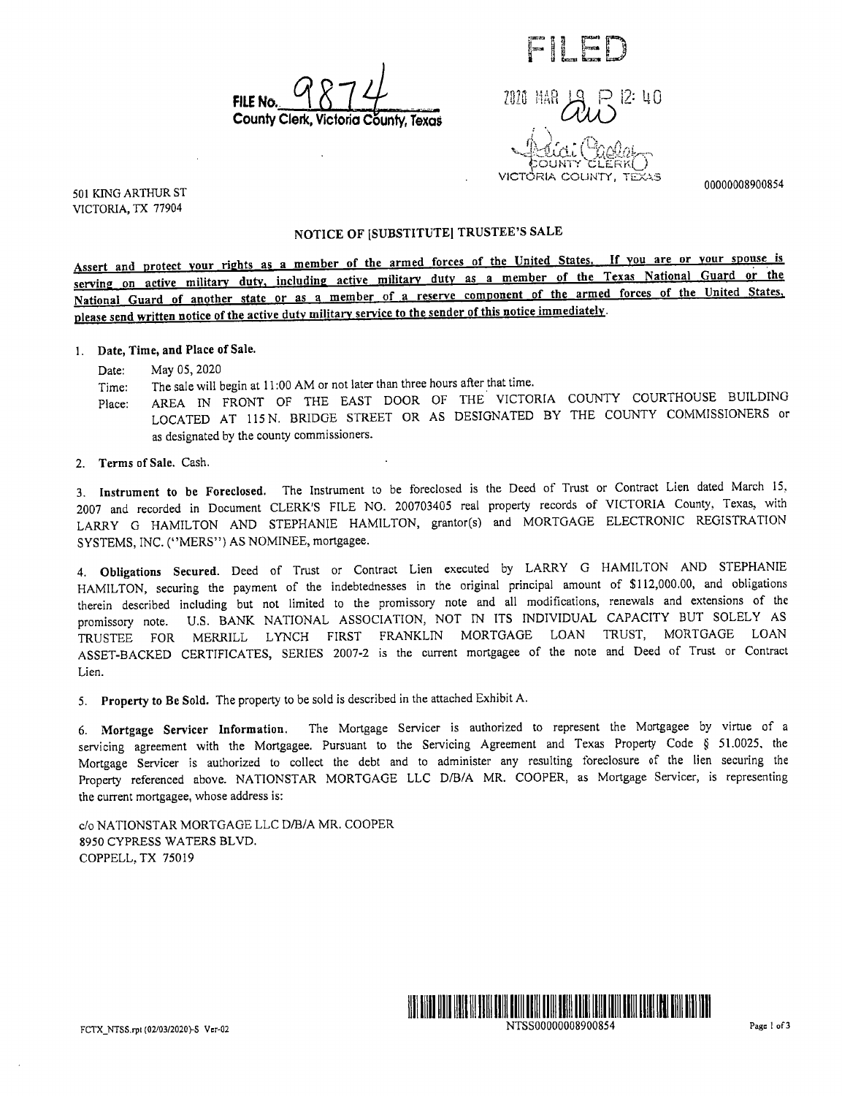**FILE No** County Clerk, Victoria 'õuntv. Texos

12: 40 2020 HAR VICTORIA COUNTY.

FII FI

00000008900854

501 KING ARTHUR ST VICTORIA, TX 77904

## NOTICE OF [SUBSTITUTE] TRUSTEE'S SALE

Assert and protect your rights as a member of the armed forces of the United States. If you are or your spouse is serving on active military duty, including active military duty as a member of the Texas National Guard or the National Guard of another state or as a member of a reserve component of the armed forces of the United States, please send written notice of the active duty military service to the sender of this notice immediately.

1. Date, Time, and Place of Sale.

May 05, 2020 Date:

The sale will begin at 11:00 AM or not later than three hours after that time. Time:

AREA IN FRONT OF THE EAST DOOR OF THE VICTORIA COUNTY COURTHOUSE BUILDING Place: LOCATED AT 115 N. BRIDGE STREET OR AS DESIGNATED BY THE COUNTY COMMISSIONERS or as designated by the county commissioners.

2. Terms of Sale. Cash.

3. Instrument to be Foreclosed. The Instrument to be foreclosed is the Deed of Trust or Contract Lien dated March 15, 2007 and recorded in Document CLERK'S FILE NO. 200703405 real property records of VICTORIA County, Texas, with LARRY G HAMILTON AND STEPHANIE HAMILTON, grantor(s) and MORTGAGE ELECTRONIC REGISTRATION SYSTEMS. INC. ("MERS") AS NOMINEE, mortgagee.

4. Obligations Secured. Deed of Trust or Contract Lien executed by LARRY G HAMILTON AND STEPHANIE HAMILTON, securing the payment of the indebtednesses in the original principal amount of \$112,000.00, and obligations therein described including but not limited to the promissory note and all modifications, renewals and extensions of the promissory note. U.S. BANK NATIONAL ASSOCIATION, NOT IN ITS INDIVIDUAL CAPACITY BUT SOLELY AS TRUSTEE FOR MERRILL LYNCH FIRST FRANKLIN MORTGAGE LOAN TRUST, MORTGAGE LOAN ASSET-BACKED CERTIFICATES, SERIES 2007-2 is the current mortgagee of the note and Deed of Trust or Contract Lien.

5. Property to Be Sold. The property to be sold is described in the attached Exhibit A.

6. Mortgage Servicer Information. The Mortgage Servicer is authorized to represent the Mortgagee by virtue of a servicing agreement with the Mortgagee. Pursuant to the Servicing Agreement and Texas Property Code § 51.0025, the Mortgage Servicer is authorized to collect the debt and to administer any resulting foreclosure of the lien securing the Property referenced above. NATIONSTAR MORTGAGE LLC D/B/A MR. COOPER, as Mortgage Servicer, is representing the current mortgagee, whose address is:

c/o NATIONSTAR MORTGAGE LLC D/B/A MR. COOPER 8950 CYPRESS WATERS BLVD. COPPELL, TX 75019

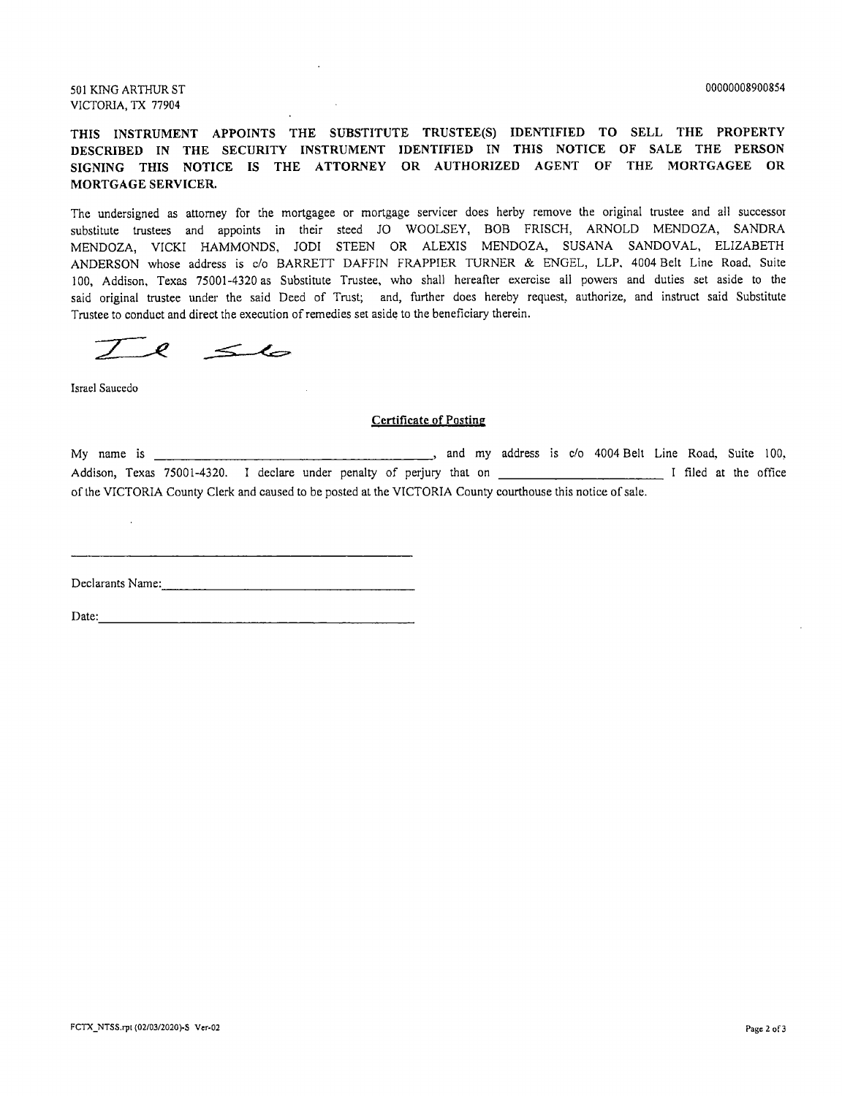501 KING ARTHUR ST VICTORIA, TX 77904

THIS INSTRUMENT APPOINTS THE SUBSTITUTE TRUSTEE(S) IDENTIFIED TO SELL THE PROPERTY DESCRIBED IN THE SECURITY INSTRUMENT IDENTIFIED IN THIS NOTICE OF SALE THE PERSON SIGNING THIS NOTICE IS THE ATTORNEY OR AUTHORIZED AGENT OF THE MORTGAGEE OR MORTGAGE SERVICER.

The undersigned as attorney for the mortgagee or mortgage servicer does herby remove the original trustee and all successor substitute trustees and appoints in their steed JO WOOLSEY, BOB FRISCH, ARNOLD MENDOZA, SANDRA MENDOZA, VICKI HAMMONDS, JODI STEEN OR ALEXIS MENDOZA, SUSANA SANDOVAL, ELIZABETH ANDERSON whose address is c/o BARRETT DAFFIN FRAPPIER TURNER & ENGEL, LLP, 4004 Belt Line Road, Suite 100, Addison, Texas 75001-4320 as Substitute Trustee, who shall hereafter exercise all powers and duties set aside to the said original trustee under the said Deed of Trust; and, further does hereby request, authorize, and instruct said Substitute Trustee to conduct and direct the execution of remedies set aside to the beneficiary therein.

 $\leq$ Ø

Israel Saucedo

 $\mathcal{L}$ 

#### **Certificate of Posting**

| My name is                                                                                                  |  |                                                                       |  |  |  |  |  |  |  |  | and my address is c/o 4004 Belt Line Road, Suite 100, |                       |  |  |
|-------------------------------------------------------------------------------------------------------------|--|-----------------------------------------------------------------------|--|--|--|--|--|--|--|--|-------------------------------------------------------|-----------------------|--|--|
|                                                                                                             |  | Addison, Texas 75001-4320. I declare under penalty of periury that on |  |  |  |  |  |  |  |  |                                                       | I filed at the office |  |  |
| of the VICTORIA County Clerk and caused to be posted at the VICTORIA County courthouse this notice of sale. |  |                                                                       |  |  |  |  |  |  |  |  |                                                       |                       |  |  |

Declarants Name:

Date:  $\frac{1}{2}$  Date:  $\frac{1}{2}$   $\frac{1}{2}$   $\frac{1}{2}$   $\frac{1}{2}$   $\frac{1}{2}$   $\frac{1}{2}$   $\frac{1}{2}$   $\frac{1}{2}$   $\frac{1}{2}$   $\frac{1}{2}$   $\frac{1}{2}$   $\frac{1}{2}$   $\frac{1}{2}$   $\frac{1}{2}$   $\frac{1}{2}$   $\frac{1}{2}$   $\frac{1}{2}$   $\frac{1}{2}$   $\frac{1}{2}$   $\frac{1}{2}$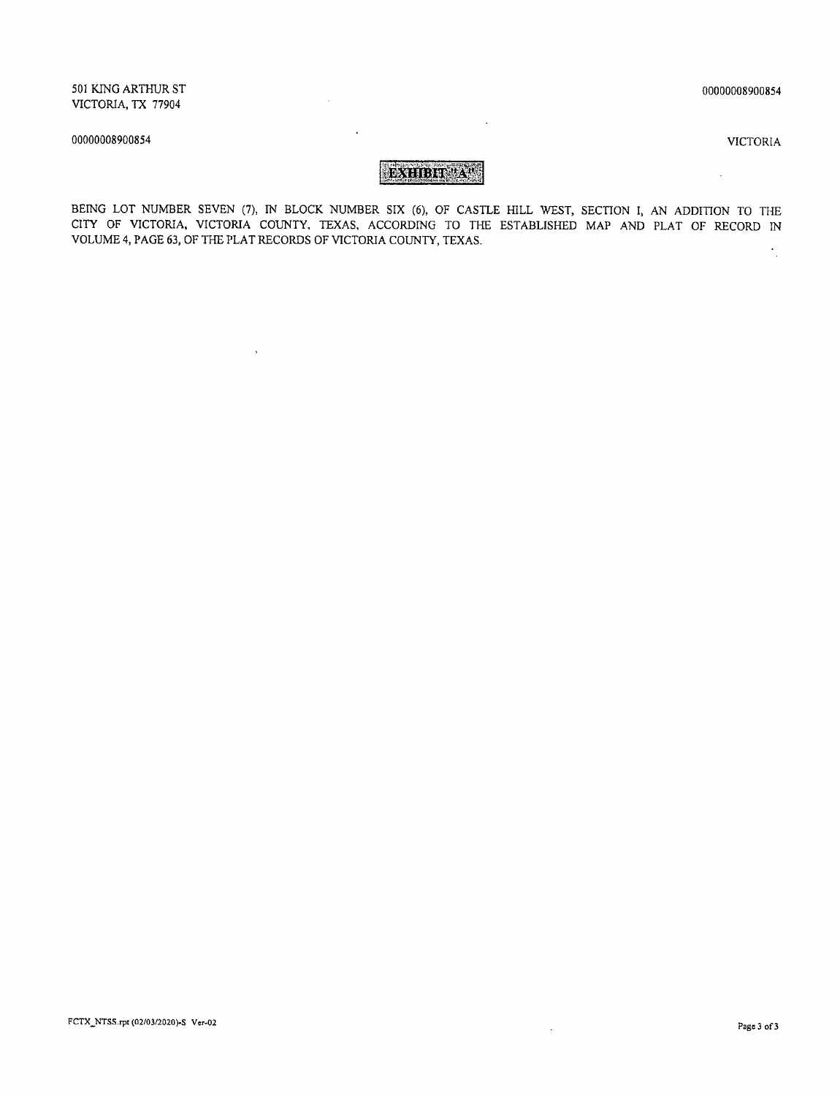00000008900854

#### 00000008900854

 $\ddot{\phantom{a}}$ 

**VICTORIA** 

# БХНВИТА.

 $\ddot{\phantom{a}}$ 

 $\mathcal{L}$ 

 $\hat{\mathbf{v}}$ 

 $\hat{\mathbf{r}}$ 

BEING LOT NUMBER SEVEN (7), IN BLOCK NUMBER SIX (6), OF CASTLE HILL WEST, SECTION I, AN ADDITION TO THE CITY OF VICTORIA, VICTORIA COUNTY, TEXAS, ACCORDING TO THE ESTABLISHED MAP AND PLAT OF RECORD IN VOLUME 4, PAGE 63, OF THE PLAT RECORDS OF VICTORIA COUNTY, TEXAS.  $\frac{1}{\sqrt{2}}$ 

 $\bar{z}$